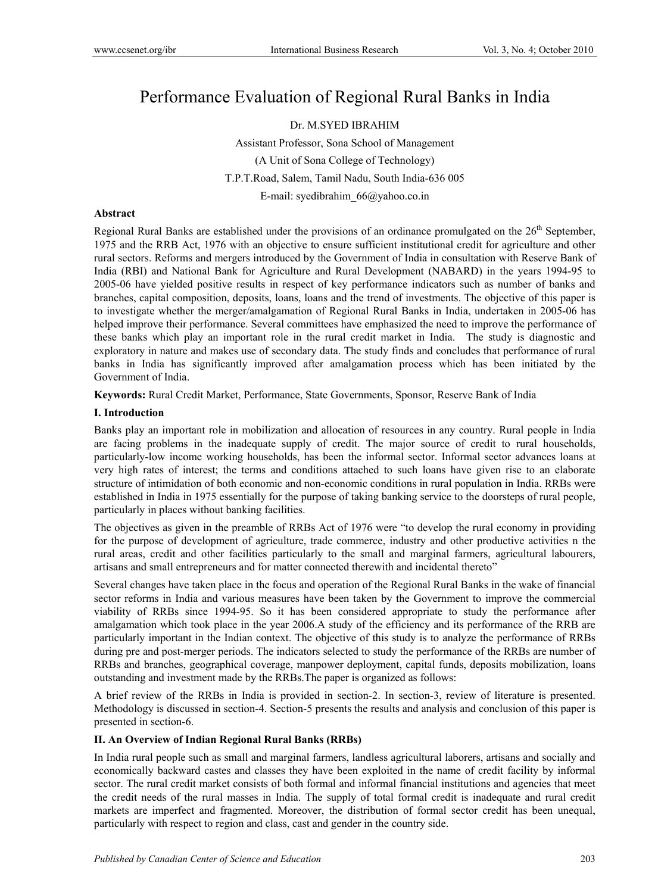# Performance Evaluation of Regional Rural Banks in India

Dr. M.SYED IBRAHIM

Assistant Professor, Sona School of Management (A Unit of Sona College of Technology) T.P.T.Road, Salem, Tamil Nadu, South India-636 005 E-mail: syedibrahim\_66@yahoo.co.in

#### **Abstract**

Regional Rural Banks are established under the provisions of an ordinance promulgated on the  $26<sup>th</sup>$  September, 1975 and the RRB Act, 1976 with an objective to ensure sufficient institutional credit for agriculture and other rural sectors. Reforms and mergers introduced by the Government of India in consultation with Reserve Bank of India (RBI) and National Bank for Agriculture and Rural Development (NABARD) in the years 1994-95 to 2005-06 have yielded positive results in respect of key performance indicators such as number of banks and branches, capital composition, deposits, loans, loans and the trend of investments. The objective of this paper is to investigate whether the merger/amalgamation of Regional Rural Banks in India, undertaken in 2005-06 has helped improve their performance. Several committees have emphasized the need to improve the performance of these banks which play an important role in the rural credit market in India. The study is diagnostic and exploratory in nature and makes use of secondary data. The study finds and concludes that performance of rural banks in India has significantly improved after amalgamation process which has been initiated by the Government of India.

**Keywords:** Rural Credit Market, Performance, State Governments, Sponsor, Reserve Bank of India

## **I. Introduction**

Banks play an important role in mobilization and allocation of resources in any country. Rural people in India are facing problems in the inadequate supply of credit. The major source of credit to rural households, particularly-low income working households, has been the informal sector. Informal sector advances loans at very high rates of interest; the terms and conditions attached to such loans have given rise to an elaborate structure of intimidation of both economic and non-economic conditions in rural population in India. RRBs were established in India in 1975 essentially for the purpose of taking banking service to the doorsteps of rural people, particularly in places without banking facilities.

The objectives as given in the preamble of RRBs Act of 1976 were "to develop the rural economy in providing for the purpose of development of agriculture, trade commerce, industry and other productive activities n the rural areas, credit and other facilities particularly to the small and marginal farmers, agricultural labourers, artisans and small entrepreneurs and for matter connected therewith and incidental thereto"

Several changes have taken place in the focus and operation of the Regional Rural Banks in the wake of financial sector reforms in India and various measures have been taken by the Government to improve the commercial viability of RRBs since 1994-95. So it has been considered appropriate to study the performance after amalgamation which took place in the year 2006.A study of the efficiency and its performance of the RRB are particularly important in the Indian context. The objective of this study is to analyze the performance of RRBs during pre and post-merger periods. The indicators selected to study the performance of the RRBs are number of RRBs and branches, geographical coverage, manpower deployment, capital funds, deposits mobilization, loans outstanding and investment made by the RRBs.The paper is organized as follows:

A brief review of the RRBs in India is provided in section-2. In section-3, review of literature is presented. Methodology is discussed in section-4. Section-5 presents the results and analysis and conclusion of this paper is presented in section-6.

## **II. An Overview of Indian Regional Rural Banks (RRBs)**

In India rural people such as small and marginal farmers, landless agricultural laborers, artisans and socially and economically backward castes and classes they have been exploited in the name of credit facility by informal sector. The rural credit market consists of both formal and informal financial institutions and agencies that meet the credit needs of the rural masses in India. The supply of total formal credit is inadequate and rural credit markets are imperfect and fragmented. Moreover, the distribution of formal sector credit has been unequal, particularly with respect to region and class, cast and gender in the country side.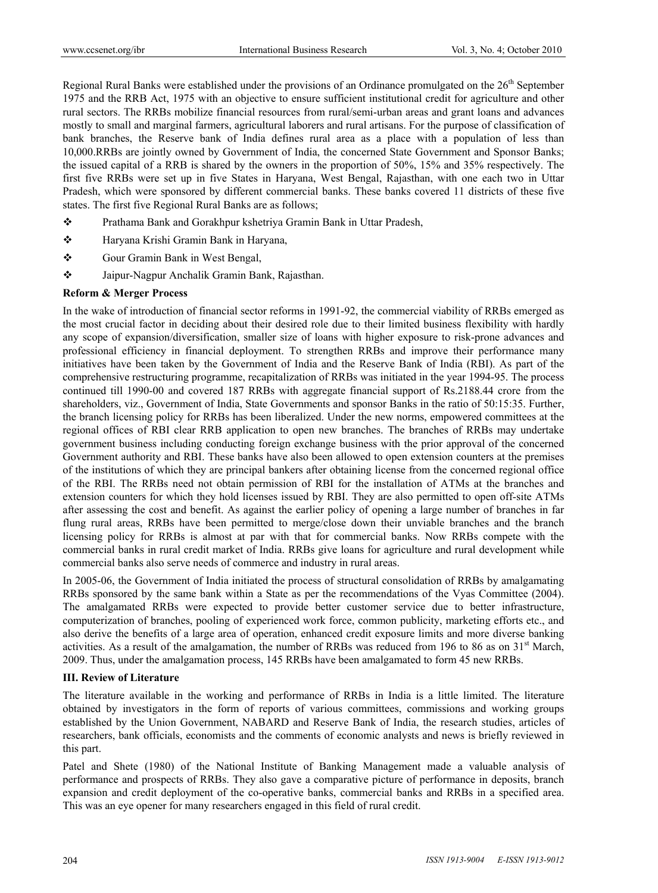Regional Rural Banks were established under the provisions of an Ordinance promulgated on the 26<sup>th</sup> September 1975 and the RRB Act, 1975 with an objective to ensure sufficient institutional credit for agriculture and other rural sectors. The RRBs mobilize financial resources from rural/semi-urban areas and grant loans and advances mostly to small and marginal farmers, agricultural laborers and rural artisans. For the purpose of classification of bank branches, the Reserve bank of India defines rural area as a place with a population of less than 10,000.RRBs are jointly owned by Government of India, the concerned State Government and Sponsor Banks; the issued capital of a RRB is shared by the owners in the proportion of 50%, 15% and 35% respectively. The first five RRBs were set up in five States in Haryana, West Bengal, Rajasthan, with one each two in Uttar Pradesh, which were sponsored by different commercial banks. These banks covered 11 districts of these five states. The first five Regional Rural Banks are as follows;

- \* Prathama Bank and Gorakhpur kshetriya Gramin Bank in Uttar Pradesh,
- Haryana Krishi Gramin Bank in Haryana,
- Gour Gramin Bank in West Bengal,
- Jaipur-Nagpur Anchalik Gramin Bank, Rajasthan.

#### **Reform & Merger Process**

In the wake of introduction of financial sector reforms in 1991-92, the commercial viability of RRBs emerged as the most crucial factor in deciding about their desired role due to their limited business flexibility with hardly any scope of expansion/diversification, smaller size of loans with higher exposure to risk-prone advances and professional efficiency in financial deployment. To strengthen RRBs and improve their performance many initiatives have been taken by the Government of India and the Reserve Bank of India (RBI). As part of the comprehensive restructuring programme, recapitalization of RRBs was initiated in the year 1994-95. The process continued till 1990-00 and covered 187 RRBs with aggregate financial support of Rs.2188.44 crore from the shareholders, viz., Government of India, State Governments and sponsor Banks in the ratio of 50:15:35. Further, the branch licensing policy for RRBs has been liberalized. Under the new norms, empowered committees at the regional offices of RBI clear RRB application to open new branches. The branches of RRBs may undertake government business including conducting foreign exchange business with the prior approval of the concerned Government authority and RBI. These banks have also been allowed to open extension counters at the premises of the institutions of which they are principal bankers after obtaining license from the concerned regional office of the RBI. The RRBs need not obtain permission of RBI for the installation of ATMs at the branches and extension counters for which they hold licenses issued by RBI. They are also permitted to open off-site ATMs after assessing the cost and benefit. As against the earlier policy of opening a large number of branches in far flung rural areas, RRBs have been permitted to merge/close down their unviable branches and the branch licensing policy for RRBs is almost at par with that for commercial banks. Now RRBs compete with the commercial banks in rural credit market of India. RRBs give loans for agriculture and rural development while commercial banks also serve needs of commerce and industry in rural areas.

In 2005-06, the Government of India initiated the process of structural consolidation of RRBs by amalgamating RRBs sponsored by the same bank within a State as per the recommendations of the Vyas Committee (2004). The amalgamated RRBs were expected to provide better customer service due to better infrastructure, computerization of branches, pooling of experienced work force, common publicity, marketing efforts etc., and also derive the benefits of a large area of operation, enhanced credit exposure limits and more diverse banking activities. As a result of the amalgamation, the number of RRBs was reduced from 196 to 86 as on  $31<sup>st</sup>$  March, 2009. Thus, under the amalgamation process, 145 RRBs have been amalgamated to form 45 new RRBs.

#### **III. Review of Literature**

The literature available in the working and performance of RRBs in India is a little limited. The literature obtained by investigators in the form of reports of various committees, commissions and working groups established by the Union Government, NABARD and Reserve Bank of India, the research studies, articles of researchers, bank officials, economists and the comments of economic analysts and news is briefly reviewed in this part.

Patel and Shete (1980) of the National Institute of Banking Management made a valuable analysis of performance and prospects of RRBs. They also gave a comparative picture of performance in deposits, branch expansion and credit deployment of the co-operative banks, commercial banks and RRBs in a specified area. This was an eye opener for many researchers engaged in this field of rural credit.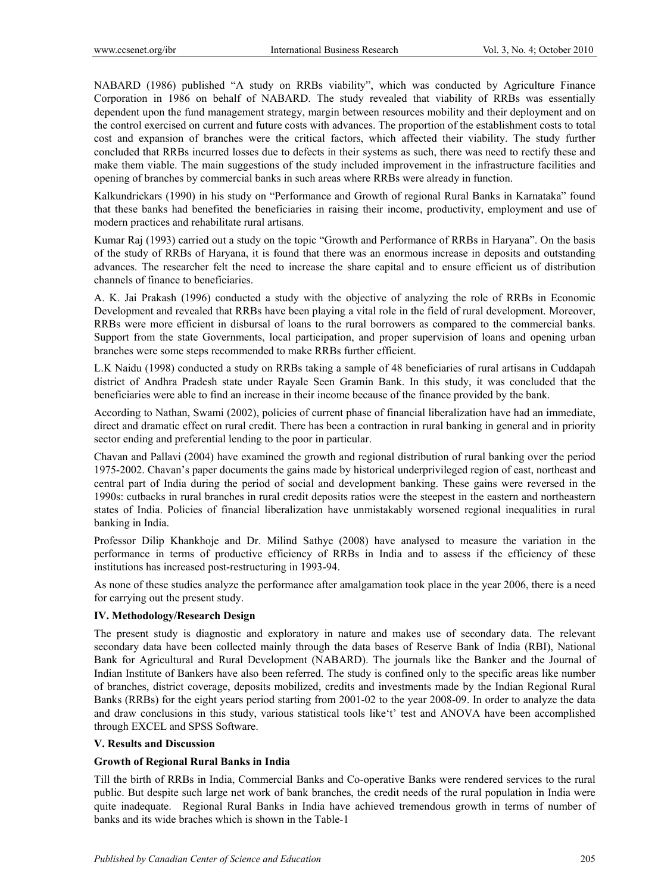NABARD (1986) published "A study on RRBs viability", which was conducted by Agriculture Finance Corporation in 1986 on behalf of NABARD. The study revealed that viability of RRBs was essentially dependent upon the fund management strategy, margin between resources mobility and their deployment and on the control exercised on current and future costs with advances. The proportion of the establishment costs to total cost and expansion of branches were the critical factors, which affected their viability. The study further concluded that RRBs incurred losses due to defects in their systems as such, there was need to rectify these and make them viable. The main suggestions of the study included improvement in the infrastructure facilities and opening of branches by commercial banks in such areas where RRBs were already in function.

Kalkundrickars (1990) in his study on "Performance and Growth of regional Rural Banks in Karnataka" found that these banks had benefited the beneficiaries in raising their income, productivity, employment and use of modern practices and rehabilitate rural artisans.

Kumar Raj (1993) carried out a study on the topic "Growth and Performance of RRBs in Haryana". On the basis of the study of RRBs of Haryana, it is found that there was an enormous increase in deposits and outstanding advances. The researcher felt the need to increase the share capital and to ensure efficient us of distribution channels of finance to beneficiaries.

A. K. Jai Prakash (1996) conducted a study with the objective of analyzing the role of RRBs in Economic Development and revealed that RRBs have been playing a vital role in the field of rural development. Moreover, RRBs were more efficient in disbursal of loans to the rural borrowers as compared to the commercial banks. Support from the state Governments, local participation, and proper supervision of loans and opening urban branches were some steps recommended to make RRBs further efficient.

L.K Naidu (1998) conducted a study on RRBs taking a sample of 48 beneficiaries of rural artisans in Cuddapah district of Andhra Pradesh state under Rayale Seen Gramin Bank. In this study, it was concluded that the beneficiaries were able to find an increase in their income because of the finance provided by the bank.

According to Nathan, Swami (2002), policies of current phase of financial liberalization have had an immediate, direct and dramatic effect on rural credit. There has been a contraction in rural banking in general and in priority sector ending and preferential lending to the poor in particular.

Chavan and Pallavi (2004) have examined the growth and regional distribution of rural banking over the period 1975-2002. Chavan's paper documents the gains made by historical underprivileged region of east, northeast and central part of India during the period of social and development banking. These gains were reversed in the 1990s: cutbacks in rural branches in rural credit deposits ratios were the steepest in the eastern and northeastern states of India. Policies of financial liberalization have unmistakably worsened regional inequalities in rural banking in India.

Professor Dilip Khankhoje and Dr. Milind Sathye (2008) have analysed to measure the variation in the performance in terms of productive efficiency of RRBs in India and to assess if the efficiency of these institutions has increased post-restructuring in 1993-94.

As none of these studies analyze the performance after amalgamation took place in the year 2006, there is a need for carrying out the present study.

#### **IV. Methodology/Research Design**

The present study is diagnostic and exploratory in nature and makes use of secondary data. The relevant secondary data have been collected mainly through the data bases of Reserve Bank of India (RBI), National Bank for Agricultural and Rural Development (NABARD). The journals like the Banker and the Journal of Indian Institute of Bankers have also been referred. The study is confined only to the specific areas like number of branches, district coverage, deposits mobilized, credits and investments made by the Indian Regional Rural Banks (RRBs) for the eight years period starting from 2001-02 to the year 2008-09. In order to analyze the data and draw conclusions in this study, various statistical tools like't' test and ANOVA have been accomplished through EXCEL and SPSS Software.

## **V. Results and Discussion**

#### **Growth of Regional Rural Banks in India**

Till the birth of RRBs in India, Commercial Banks and Co-operative Banks were rendered services to the rural public. But despite such large net work of bank branches, the credit needs of the rural population in India were quite inadequate. Regional Rural Banks in India have achieved tremendous growth in terms of number of banks and its wide braches which is shown in the Table-1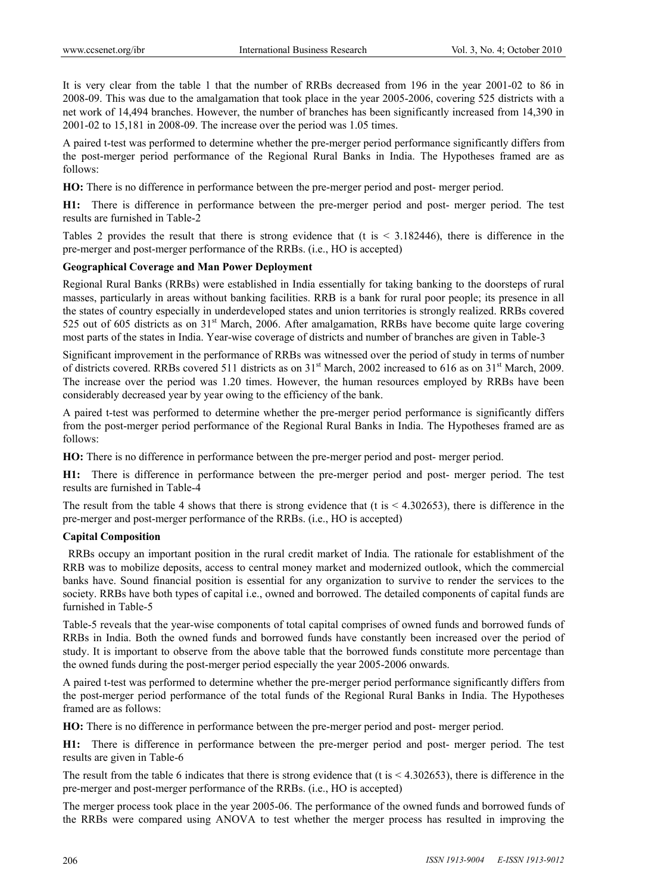It is very clear from the table 1 that the number of RRBs decreased from 196 in the year 2001-02 to 86 in 2008-09. This was due to the amalgamation that took place in the year 2005-2006, covering 525 districts with a net work of 14,494 branches. However, the number of branches has been significantly increased from 14,390 in 2001-02 to 15,181 in 2008-09. The increase over the period was 1.05 times.

A paired t-test was performed to determine whether the pre-merger period performance significantly differs from the post-merger period performance of the Regional Rural Banks in India. The Hypotheses framed are as follows:

**HO:** There is no difference in performance between the pre-merger period and post- merger period.

**H1:** There is difference in performance between the pre-merger period and post- merger period. The test results are furnished in Table-2

Tables 2 provides the result that there is strong evidence that (t is < 3.182446), there is difference in the pre-merger and post-merger performance of the RRBs. (i.e., HO is accepted)

#### **Geographical Coverage and Man Power Deployment**

Regional Rural Banks (RRBs) were established in India essentially for taking banking to the doorsteps of rural masses, particularly in areas without banking facilities. RRB is a bank for rural poor people; its presence in all the states of country especially in underdeveloped states and union territories is strongly realized. RRBs covered 525 out of 605 districts as on 31<sup>st</sup> March, 2006. After amalgamation, RRBs have become quite large covering most parts of the states in India. Year-wise coverage of districts and number of branches are given in Table-3

Significant improvement in the performance of RRBs was witnessed over the period of study in terms of number of districts covered. RRBs covered 511 districts as on 31<sup>st</sup> March, 2002 increased to 616 as on 31<sup>st</sup> March, 2009. The increase over the period was 1.20 times. However, the human resources employed by RRBs have been considerably decreased year by year owing to the efficiency of the bank.

A paired t-test was performed to determine whether the pre-merger period performance is significantly differs from the post-merger period performance of the Regional Rural Banks in India. The Hypotheses framed are as follows:

**HO:** There is no difference in performance between the pre-merger period and post- merger period.

**H1:** There is difference in performance between the pre-merger period and post- merger period. The test results are furnished in Table-4

The result from the table 4 shows that there is strong evidence that (t is  $\leq$  4.302653), there is difference in the pre-merger and post-merger performance of the RRBs. (i.e., HO is accepted)

#### **Capital Composition**

 RRBs occupy an important position in the rural credit market of India. The rationale for establishment of the RRB was to mobilize deposits, access to central money market and modernized outlook, which the commercial banks have. Sound financial position is essential for any organization to survive to render the services to the society. RRBs have both types of capital i.e., owned and borrowed. The detailed components of capital funds are furnished in Table-5

Table-5 reveals that the year-wise components of total capital comprises of owned funds and borrowed funds of RRBs in India. Both the owned funds and borrowed funds have constantly been increased over the period of study. It is important to observe from the above table that the borrowed funds constitute more percentage than the owned funds during the post-merger period especially the year 2005-2006 onwards.

A paired t-test was performed to determine whether the pre-merger period performance significantly differs from the post-merger period performance of the total funds of the Regional Rural Banks in India. The Hypotheses framed are as follows:

**HO:** There is no difference in performance between the pre-merger period and post- merger period.

**H1:** There is difference in performance between the pre-merger period and post- merger period. The test results are given in Table-6

The result from the table 6 indicates that there is strong evidence that (t is  $\leq$  4.302653), there is difference in the pre-merger and post-merger performance of the RRBs. (i.e., HO is accepted)

The merger process took place in the year 2005-06. The performance of the owned funds and borrowed funds of the RRBs were compared using ANOVA to test whether the merger process has resulted in improving the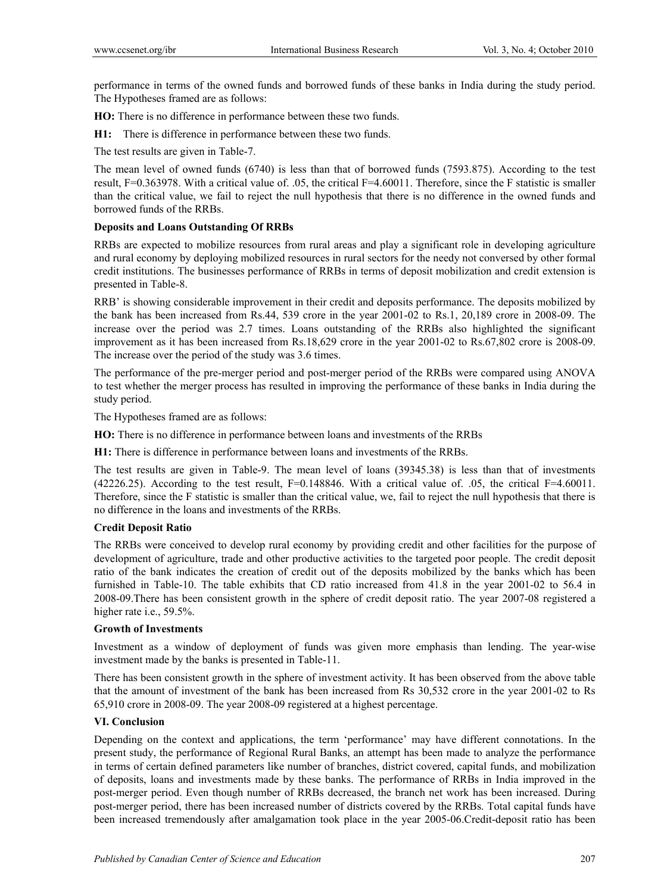performance in terms of the owned funds and borrowed funds of these banks in India during the study period. The Hypotheses framed are as follows:

**HO:** There is no difference in performance between these two funds.

**H1:** There is difference in performance between these two funds.

The test results are given in Table-7.

The mean level of owned funds (6740) is less than that of borrowed funds (7593.875). According to the test result, F=0.363978. With a critical value of. .05, the critical F=4.60011. Therefore, since the F statistic is smaller than the critical value, we fail to reject the null hypothesis that there is no difference in the owned funds and borrowed funds of the RRBs.

## **Deposits and Loans Outstanding Of RRBs**

RRBs are expected to mobilize resources from rural areas and play a significant role in developing agriculture and rural economy by deploying mobilized resources in rural sectors for the needy not conversed by other formal credit institutions. The businesses performance of RRBs in terms of deposit mobilization and credit extension is presented in Table-8.

RRB' is showing considerable improvement in their credit and deposits performance. The deposits mobilized by the bank has been increased from Rs.44, 539 crore in the year 2001-02 to Rs.1, 20,189 crore in 2008-09. The increase over the period was 2.7 times. Loans outstanding of the RRBs also highlighted the significant improvement as it has been increased from Rs.18,629 crore in the year 2001-02 to Rs.67,802 crore is 2008-09. The increase over the period of the study was 3.6 times.

The performance of the pre-merger period and post-merger period of the RRBs were compared using ANOVA to test whether the merger process has resulted in improving the performance of these banks in India during the study period.

The Hypotheses framed are as follows:

**HO:** There is no difference in performance between loans and investments of the RRBs

**H1:** There is difference in performance between loans and investments of the RRBs.

The test results are given in Table-9. The mean level of loans (39345.38) is less than that of investments (42226.25). According to the test result, F=0.148846. With a critical value of. .05, the critical F=4.60011. Therefore, since the F statistic is smaller than the critical value, we, fail to reject the null hypothesis that there is no difference in the loans and investments of the RRBs.

#### **Credit Deposit Ratio**

The RRBs were conceived to develop rural economy by providing credit and other facilities for the purpose of development of agriculture, trade and other productive activities to the targeted poor people. The credit deposit ratio of the bank indicates the creation of credit out of the deposits mobilized by the banks which has been furnished in Table-10. The table exhibits that CD ratio increased from 41.8 in the year 2001-02 to 56.4 in 2008-09.There has been consistent growth in the sphere of credit deposit ratio. The year 2007-08 registered a higher rate i.e., 59.5%.

#### **Growth of Investments**

Investment as a window of deployment of funds was given more emphasis than lending. The year-wise investment made by the banks is presented in Table-11.

There has been consistent growth in the sphere of investment activity. It has been observed from the above table that the amount of investment of the bank has been increased from Rs 30,532 crore in the year 2001-02 to Rs 65,910 crore in 2008-09. The year 2008-09 registered at a highest percentage.

#### **VI. Conclusion**

Depending on the context and applications, the term 'performance' may have different connotations. In the present study, the performance of Regional Rural Banks, an attempt has been made to analyze the performance in terms of certain defined parameters like number of branches, district covered, capital funds, and mobilization of deposits, loans and investments made by these banks. The performance of RRBs in India improved in the post-merger period. Even though number of RRBs decreased, the branch net work has been increased. During post-merger period, there has been increased number of districts covered by the RRBs. Total capital funds have been increased tremendously after amalgamation took place in the year 2005-06.Credit-deposit ratio has been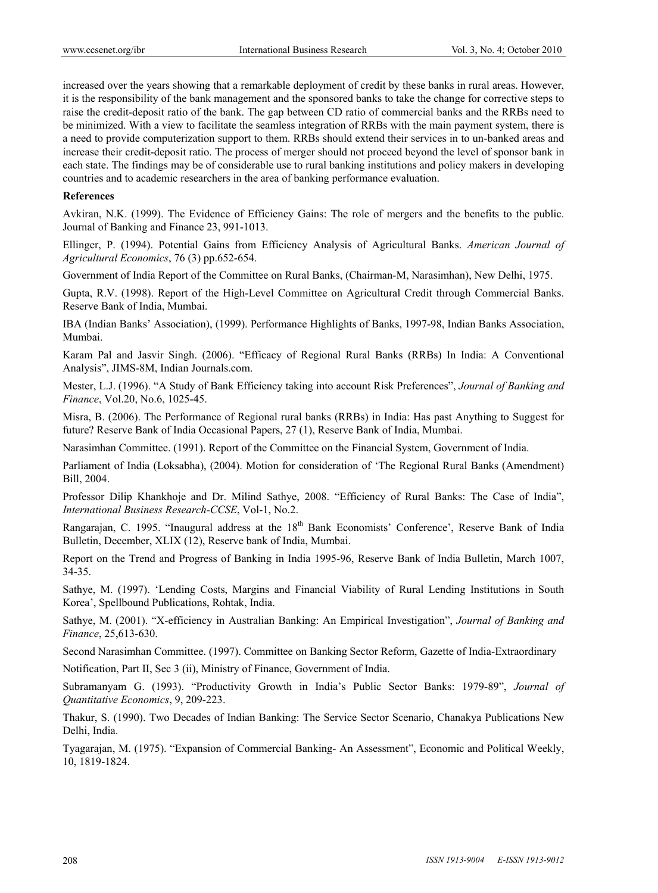increased over the years showing that a remarkable deployment of credit by these banks in rural areas. However, it is the responsibility of the bank management and the sponsored banks to take the change for corrective steps to raise the credit-deposit ratio of the bank. The gap between CD ratio of commercial banks and the RRBs need to be minimized. With a view to facilitate the seamless integration of RRBs with the main payment system, there is a need to provide computerization support to them. RRBs should extend their services in to un-banked areas and increase their credit-deposit ratio. The process of merger should not proceed beyond the level of sponsor bank in each state. The findings may be of considerable use to rural banking institutions and policy makers in developing countries and to academic researchers in the area of banking performance evaluation.

#### **References**

Avkiran, N.K. (1999). The Evidence of Efficiency Gains: The role of mergers and the benefits to the public. Journal of Banking and Finance 23, 991-1013.

Ellinger, P. (1994). Potential Gains from Efficiency Analysis of Agricultural Banks. *American Journal of Agricultural Economics*, 76 (3) pp.652-654.

Government of India Report of the Committee on Rural Banks, (Chairman-M, Narasimhan), New Delhi, 1975.

Gupta, R.V. (1998). Report of the High-Level Committee on Agricultural Credit through Commercial Banks. Reserve Bank of India, Mumbai.

IBA (Indian Banks' Association), (1999). Performance Highlights of Banks, 1997-98, Indian Banks Association, Mumbai.

Karam Pal and Jasvir Singh. (2006). "Efficacy of Regional Rural Banks (RRBs) In India: A Conventional Analysis", JIMS-8M, Indian Journals.com.

Mester, L.J. (1996). "A Study of Bank Efficiency taking into account Risk Preferences", *Journal of Banking and Finance*, Vol.20, No.6, 1025-45.

Misra, B. (2006). The Performance of Regional rural banks (RRBs) in India: Has past Anything to Suggest for future? Reserve Bank of India Occasional Papers, 27 (1), Reserve Bank of India, Mumbai.

Narasimhan Committee. (1991). Report of the Committee on the Financial System, Government of India.

Parliament of India (Loksabha), (2004). Motion for consideration of 'The Regional Rural Banks (Amendment) Bill, 2004.

Professor Dilip Khankhoje and Dr. Milind Sathye, 2008. "Efficiency of Rural Banks: The Case of India", *International Business Research-CCSE*, Vol-1, No.2.

Rangarajan, C. 1995. "Inaugural address at the 18<sup>th</sup> Bank Economists' Conference', Reserve Bank of India Bulletin, December, XLIX (12), Reserve bank of India, Mumbai.

Report on the Trend and Progress of Banking in India 1995-96, Reserve Bank of India Bulletin, March 1007, 34-35.

Sathye, M. (1997). 'Lending Costs, Margins and Financial Viability of Rural Lending Institutions in South Korea', Spellbound Publications, Rohtak, India.

Sathye, M. (2001). "X-efficiency in Australian Banking: An Empirical Investigation", *Journal of Banking and Finance*, 25,613-630.

Second Narasimhan Committee. (1997). Committee on Banking Sector Reform, Gazette of India-Extraordinary

Notification, Part II, Sec 3 (ii), Ministry of Finance, Government of India.

Subramanyam G. (1993). "Productivity Growth in India's Public Sector Banks: 1979-89", *Journal of Quantitative Economics*, 9, 209-223.

Thakur, S. (1990). Two Decades of Indian Banking: The Service Sector Scenario, Chanakya Publications New Delhi, India.

Tyagarajan, M. (1975). "Expansion of Commercial Banking- An Assessment", Economic and Political Weekly, 10, 1819-1824.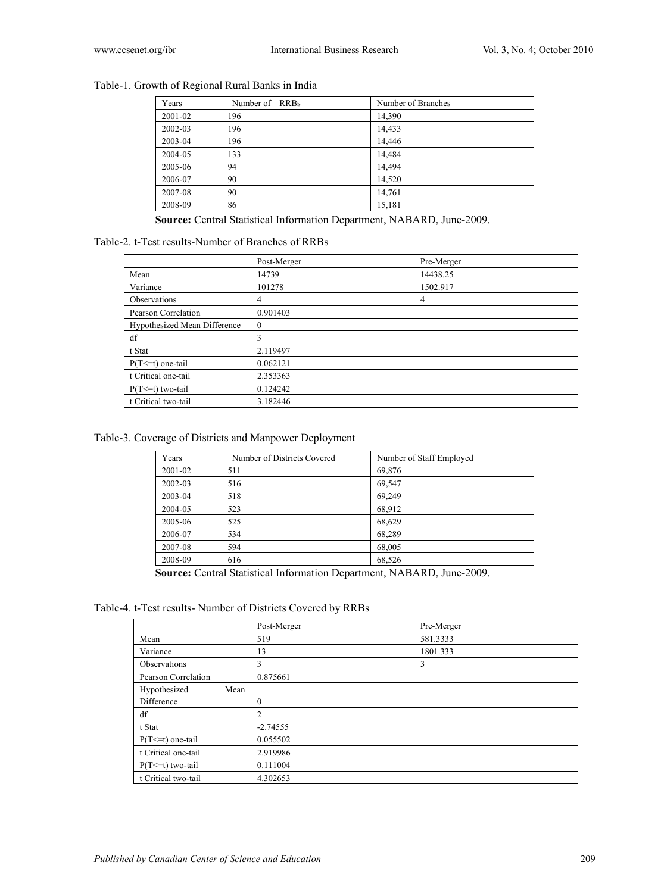## Table-1. Growth of Regional Rural Banks in India

| Years   | Number of RRBs | Number of Branches |
|---------|----------------|--------------------|
| 2001-02 | 196            | 14,390             |
| 2002-03 | 196            | 14,433             |
| 2003-04 | 196            | 14.446             |
| 2004-05 | 133            | 14,484             |
| 2005-06 | 94             | 14.494             |
| 2006-07 | 90             | 14,520             |
| 2007-08 | 90             | 14,761             |
| 2008-09 | 86             | 15,181             |

 **Source:** Central Statistical Information Department, NABARD, June-2009.

## Table-2. t-Test results-Number of Branches of RRBs

|                              | Post-Merger    | Pre-Merger |
|------------------------------|----------------|------------|
| Mean                         | 14739          | 14438.25   |
| Variance                     | 101278         | 1502.917   |
| Observations                 | 4              | 4          |
| Pearson Correlation          | 0.901403       |            |
| Hypothesized Mean Difference | $\overline{0}$ |            |
| df                           | 3              |            |
| t Stat                       | 2.119497       |            |
| $P(T \leq t)$ one-tail       | 0.062121       |            |
| t Critical one-tail          | 2.353363       |            |
| $P(T \le t)$ two-tail        | 0.124242       |            |
| t Critical two-tail          | 3.182446       |            |

## Table-3. Coverage of Districts and Manpower Deployment

| Years   | Number of Districts Covered | Number of Staff Employed |
|---------|-----------------------------|--------------------------|
| 2001-02 | 511                         | 69,876                   |
| 2002-03 | 516                         | 69,547                   |
| 2003-04 | 518                         | 69,249                   |
| 2004-05 | 523                         | 68,912                   |
| 2005-06 | 525                         | 68,629                   |
| 2006-07 | 534                         | 68,289                   |
| 2007-08 | 594                         | 68,005                   |
| 2008-09 | 616                         | 68,526                   |

 **Source:** Central Statistical Information Department, NABARD, June-2009.

Table-4. t-Test results- Number of Districts Covered by RRBs

|                        | Post-Merger | Pre-Merger |
|------------------------|-------------|------------|
| Mean                   | 519         | 581.3333   |
| Variance               | 13          | 1801.333   |
| Observations           | 3           | 3          |
| Pearson Correlation    | 0.875661    |            |
| Hypothesized<br>Mean   |             |            |
| Difference             | 0           |            |
| df                     | 2           |            |
| t Stat                 | $-2.74555$  |            |
| $P(T \leq t)$ one-tail | 0.055502    |            |
| t Critical one-tail    | 2.919986    |            |
| $P(T \le t)$ two-tail  | 0.111004    |            |
| t Critical two-tail    | 4.302653    |            |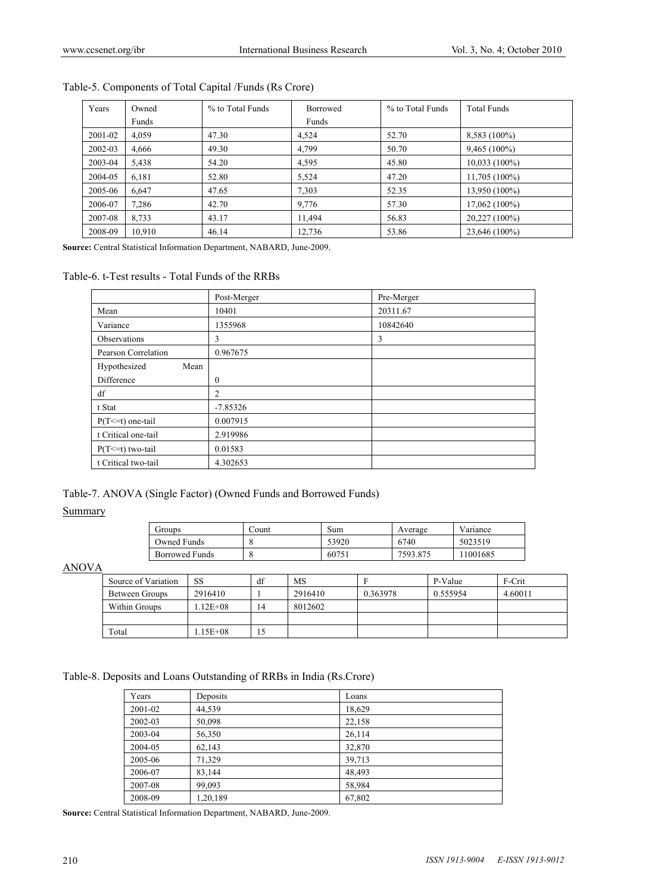| Years   | Owned  | % to Total Funds | <b>Borrowed</b> | % to Total Funds | <b>Total Funds</b> |
|---------|--------|------------------|-----------------|------------------|--------------------|
|         | Funds  |                  | Funds           |                  |                    |
| 2001-02 | 4.059  | 47.30            | 4.524           | 52.70            | 8,583 (100%)       |
| 2002-03 | 4,666  | 49.30            | 4,799           | 50.70            | $9,465(100\%)$     |
| 2003-04 | 5,438  | 54.20            | 4,595           | 45.80            | $10,033(100\%)$    |
| 2004-05 | 6,181  | 52.80            | 5,524           | 47.20            | $11,705(100\%)$    |
| 2005-06 | 6.647  | 47.65            | 7.303           | 52.35            | 13,950 (100%)      |
| 2006-07 | 7,286  | 42.70            | 9,776           | 57.30            | $17,062(100\%)$    |
| 2007-08 | 8,733  | 43.17            | 11.494          | 56.83            | 20,227 (100%)      |
| 2008-09 | 10.910 | 46.14            | 12,736          | 53.86            | 23,646 (100%)      |

## Table-5. Components of Total Capital /Funds (Rs Crore)

**Source:** Central Statistical Information Department, NABARD, June-2009.

#### Table-6. t-Test results - Total Funds of the RRBs

|                        | Post-Merger | Pre-Merger |
|------------------------|-------------|------------|
| Mean                   | 10401       | 20311.67   |
| Variance               | 1355968     | 10842640   |
| Observations           | 3           | 3          |
| Pearson Correlation    | 0.967675    |            |
| Hypothesized<br>Mean   |             |            |
| Difference             | $\theta$    |            |
| df                     | 2           |            |
| t Stat                 | $-7.85326$  |            |
| $P(T \leq t)$ one-tail | 0.007915    |            |
| t Critical one-tail    | 2.919986    |            |
| $P(T \le t)$ two-tail  | 0.01583     |            |
| t Critical two-tail    | 4.302653    |            |

#### Table-7. ANOVA (Single Factor) (Owned Funds and Borrowed Funds)

## **Summary**

| Groups                | .`ount | Sum   | Average  | Variance |
|-----------------------|--------|-------|----------|----------|
| Owned Funds           |        | 53920 | 6740     | 5023519  |
| <b>Borrowed Funds</b> |        | 60751 | 7593.875 | 11001685 |

ANOVA

| Source of Variation | SS          | df | MS      |          | P-Value  | F-Crit  |
|---------------------|-------------|----|---------|----------|----------|---------|
| Between Groups      | 2916410     |    | 2916410 | 0.363978 | 0.555954 | 4.60011 |
| Within Groups       | $.12E + 08$ | 14 | 8012602 |          |          |         |
|                     |             |    |         |          |          |         |
| Total               | 15E+08      |    |         |          |          |         |

Table-8. Deposits and Loans Outstanding of RRBs in India (Rs.Crore)

| Years   | Deposits | Loans  |
|---------|----------|--------|
| 2001-02 | 44,539   | 18,629 |
| 2002-03 | 50,098   | 22,158 |
| 2003-04 | 56,350   | 26,114 |
| 2004-05 | 62,143   | 32,870 |
| 2005-06 | 71,329   | 39,713 |
| 2006-07 | 83,144   | 48,493 |
| 2007-08 | 99,093   | 58,984 |
| 2008-09 | 1,20,189 | 67,802 |

**Source:** Central Statistical Information Department, NABARD, June-2009.